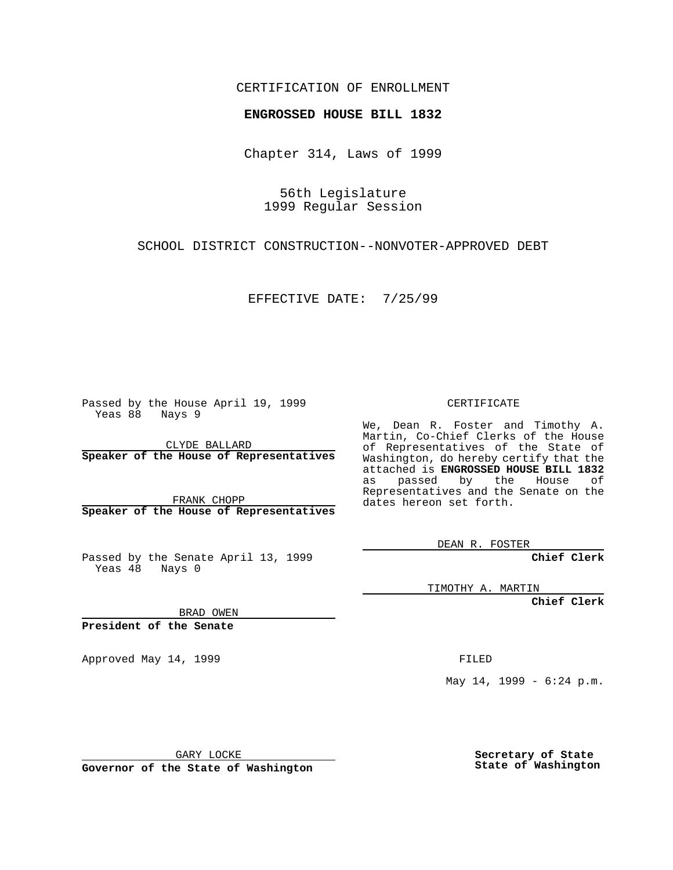## CERTIFICATION OF ENROLLMENT

# **ENGROSSED HOUSE BILL 1832**

Chapter 314, Laws of 1999

56th Legislature 1999 Regular Session

SCHOOL DISTRICT CONSTRUCTION--NONVOTER-APPROVED DEBT

EFFECTIVE DATE: 7/25/99

Passed by the House April 19, 1999 Yeas 88 Nays 9

CLYDE BALLARD **Speaker of the House of Representatives**

FRANK CHOPP **Speaker of the House of Representatives**

Passed by the Senate April 13, 1999 Yeas 48 Nays 0

CERTIFICATE

We, Dean R. Foster and Timothy A. Martin, Co-Chief Clerks of the House of Representatives of the State of Washington, do hereby certify that the attached is **ENGROSSED HOUSE BILL 1832** as passed by the House of Representatives and the Senate on the dates hereon set forth.

DEAN R. FOSTER

**Chief Clerk**

TIMOTHY A. MARTIN

**Chief Clerk**

BRAD OWEN

**President of the Senate**

Approved May 14, 1999 **FILED** 

May 14, 1999 - 6:24 p.m.

GARY LOCKE

**Governor of the State of Washington**

**Secretary of State State of Washington**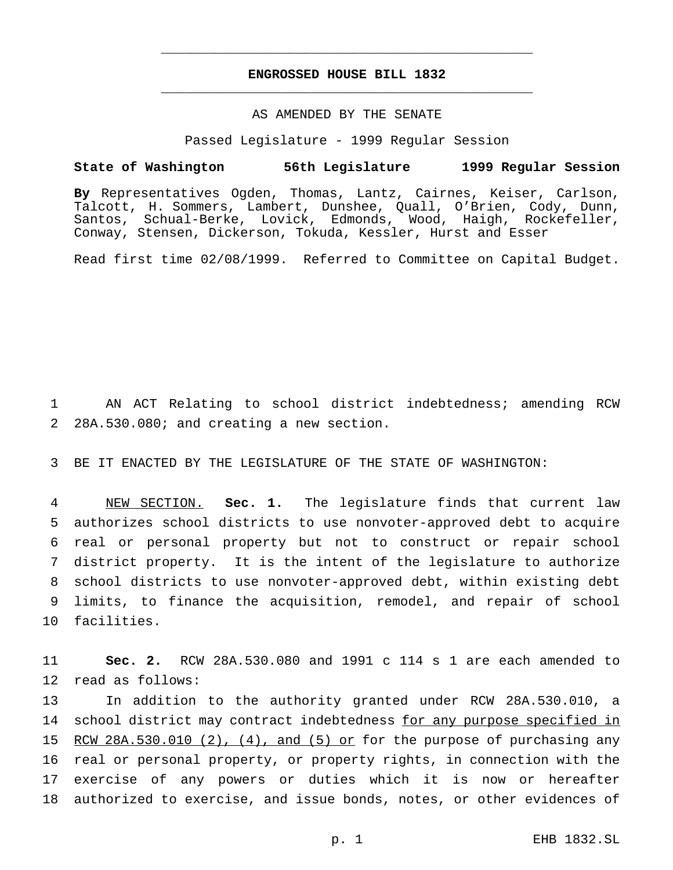## **ENGROSSED HOUSE BILL 1832** \_\_\_\_\_\_\_\_\_\_\_\_\_\_\_\_\_\_\_\_\_\_\_\_\_\_\_\_\_\_\_\_\_\_\_\_\_\_\_\_\_\_\_\_\_\_\_

\_\_\_\_\_\_\_\_\_\_\_\_\_\_\_\_\_\_\_\_\_\_\_\_\_\_\_\_\_\_\_\_\_\_\_\_\_\_\_\_\_\_\_\_\_\_\_

### AS AMENDED BY THE SENATE

Passed Legislature - 1999 Regular Session

#### **State of Washington 56th Legislature 1999 Regular Session**

**By** Representatives Ogden, Thomas, Lantz, Cairnes, Keiser, Carlson, Talcott, H. Sommers, Lambert, Dunshee, Quall, O'Brien, Cody, Dunn, Santos, Schual-Berke, Lovick, Edmonds, Wood, Haigh, Rockefeller, Conway, Stensen, Dickerson, Tokuda, Kessler, Hurst and Esser

Read first time 02/08/1999. Referred to Committee on Capital Budget.

1 AN ACT Relating to school district indebtedness; amending RCW 2 28A.530.080; and creating a new section.

3 BE IT ENACTED BY THE LEGISLATURE OF THE STATE OF WASHINGTON:

 NEW SECTION. **Sec. 1.** The legislature finds that current law authorizes school districts to use nonvoter-approved debt to acquire real or personal property but not to construct or repair school district property. It is the intent of the legislature to authorize school districts to use nonvoter-approved debt, within existing debt limits, to finance the acquisition, remodel, and repair of school facilities.

11 **Sec. 2.** RCW 28A.530.080 and 1991 c 114 s 1 are each amended to 12 read as follows:

 In addition to the authority granted under RCW 28A.530.010, a 14 school district may contract indebtedness for any purpose specified in 15 RCW 28A.530.010 (2),  $(4)$ , and  $(5)$  or for the purpose of purchasing any real or personal property, or property rights, in connection with the exercise of any powers or duties which it is now or hereafter authorized to exercise, and issue bonds, notes, or other evidences of